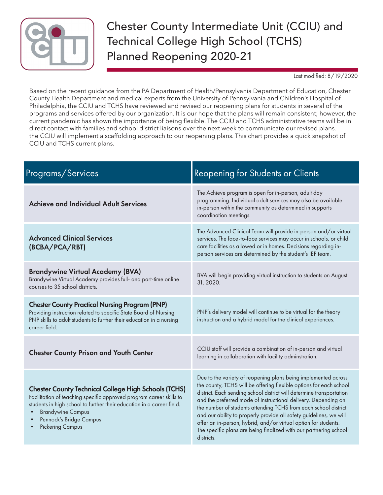

## Chester County Intermediate Unit (CCIU) and Technical College High School (TCHS) Planned Reopening 2020-21

Last modified: 8/19/2020

Based on the recent guidance from the PA Department of Health/Pennsylvania Department of Education, Chester County Health Department and medical experts from the University of Pennsylvania and Children's Hospital of Philadelphia, the CCIU and TCHS have reviewed and revised our reopening plans for students in several of the programs and services offered by our organization. It is our hope that the plans will remain consistent; however, the current pandemic has shown the importance of being flexible. The CCIU and TCHS administrative teams will be in direct contact with families and school district liaisons over the next week to communicate our revised plans. the CCIU will implement a scaffolding approach to our reopening plans. This chart provides a quick snapshot of CCIU and TCHS current plans.

| Programs/Services                                                                                                                                                                                                                                                                             | <b>Reopening for Students or Clients</b>                                                                                                                                                                                                                                                                                                                                                                                                                                                                                                                                      |
|-----------------------------------------------------------------------------------------------------------------------------------------------------------------------------------------------------------------------------------------------------------------------------------------------|-------------------------------------------------------------------------------------------------------------------------------------------------------------------------------------------------------------------------------------------------------------------------------------------------------------------------------------------------------------------------------------------------------------------------------------------------------------------------------------------------------------------------------------------------------------------------------|
| <b>Achieve and Individual Adult Services</b>                                                                                                                                                                                                                                                  | The Achieve program is open for in-person, adult day<br>programming. Individual adult services may also be available<br>in-person within the community as determined in supports<br>coordination meetings.                                                                                                                                                                                                                                                                                                                                                                    |
| <b>Advanced Clinical Services</b><br>(BCBA/PCA/RBT)                                                                                                                                                                                                                                           | The Advanced Clinical Team will provide in-person and/or virtual<br>services. The face-to-face services may occur in schools, or child<br>care facilities as allowed or in homes. Decisions regarding in-<br>person services are determined by the student's IEP team.                                                                                                                                                                                                                                                                                                        |
| <b>Brandywine Virtual Academy (BVA)</b><br>Brandywine Virtual Academy provides full- and part-time online<br>courses to 35 school districts.                                                                                                                                                  | BVA will begin providing virtual instruction to students on August<br>31, 2020.                                                                                                                                                                                                                                                                                                                                                                                                                                                                                               |
| <b>Chester County Practical Nursing Program (PNP)</b><br>Providing instruction related to specific State Board of Nursing<br>PNP skills to adult students to further their education in a nursing<br>career field.                                                                            | PNP's delivery model will continue to be virtual for the theory<br>instruction and a hybrid model for the clinical experiences.                                                                                                                                                                                                                                                                                                                                                                                                                                               |
| <b>Chester County Prison and Youth Center</b>                                                                                                                                                                                                                                                 | CCIU staff will provide a combination of in-person and virtual<br>learning in collaboration with facility adminstration.                                                                                                                                                                                                                                                                                                                                                                                                                                                      |
| <b>Chester County Technical College High Schools (TCHS)</b><br>Facilitation of teaching specific approved program career skills to<br>students in high school to further their education in a career field.<br><b>Brandywine Campus</b><br>Pennock's Bridge Campus<br><b>Pickering Campus</b> | Due to the variety of reopening plans being implemented across<br>the county, TCHS will be offering flexible options for each school<br>district. Each sending school district will determine transportation<br>and the preferred mode of instructional delivery. Depending on<br>the number of students attending TCHS from each school district<br>and our ability to properly provide all safety guidelines, we will<br>offer an in-person, hybrid, and/or virtual option for students.<br>The specific plans are being finalized with our partnering school<br>districts. |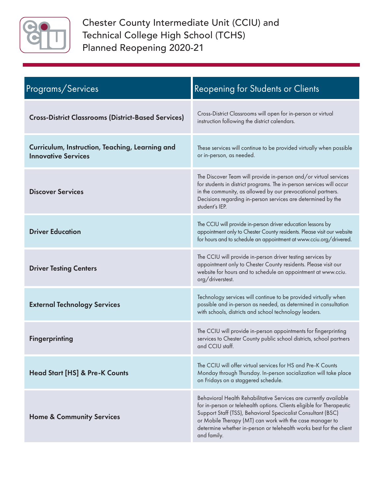

Chester County Intermediate Unit (CCIU) and Technical College High School (TCHS) Planned Reopening 2020-21

| Programs/Services                                                             | <b>Reopening for Students or Clients</b>                                                                                                                                                                                                                                                                                                                     |
|-------------------------------------------------------------------------------|--------------------------------------------------------------------------------------------------------------------------------------------------------------------------------------------------------------------------------------------------------------------------------------------------------------------------------------------------------------|
| <b>Cross-District Classrooms (District-Based Services)</b>                    | Cross-District Classrooms will open for in-person or virtual<br>instruction following the district calendars.                                                                                                                                                                                                                                                |
| Curriculum, Instruction, Teaching, Learning and<br><b>Innovative Services</b> | These services will continue to be provided virtually when possible<br>or in-person, as needed.                                                                                                                                                                                                                                                              |
| <b>Discover Services</b>                                                      | The Discover Team will provide in-person and/or virtual services<br>for students in district programs. The in-person services will occur<br>in the community, as allowed by our prevocational partners.<br>Decisions regarding in-person services are determined by the<br>student's IEP.                                                                    |
| <b>Driver Education</b>                                                       | The CCIU will provide in-person driver education lessons by<br>appointment only to Chester County residents. Please visit our website<br>for hours and to schedule an appointment at www.cciu.org/drivered.                                                                                                                                                  |
| <b>Driver Testing Centers</b>                                                 | The CCIU will provide in-person driver testing services by<br>appointment only to Chester County residents. Please visit our<br>website for hours and to schedule an appointment at www.cciu.<br>org/driverstest.                                                                                                                                            |
| <b>External Technology Services</b>                                           | Technology services will continue to be provided virtually when<br>possible and in-person as needed, as determined in consultation<br>with schools, districts and school technology leaders.                                                                                                                                                                 |
| <b>Fingerprinting</b>                                                         | The CCIU will provide in-person appointments for fingerprinting<br>services to Chester County public school districts, school partners<br>and CCIU staff.                                                                                                                                                                                                    |
| <b>Head Start [HS] &amp; Pre-K Counts</b>                                     | The CCIU will offer virtual services for HS and Pre-K Counts<br>Monday through Thursday. In-person socialization will take place<br>on Fridays on a staggered schedule.                                                                                                                                                                                      |
| <b>Home &amp; Community Services</b>                                          | Behavioral Health Rehabilitative Services are currently available<br>for in-person or telehealth options. Clients eligible for Therapeutic<br>Support Staff (TSS), Behavioral Specicalist Consultant (BSC)<br>or Mobile Therapy (MT) can work with the case manager to<br>determine whether in-person or telehealth works best for the client<br>and family. |